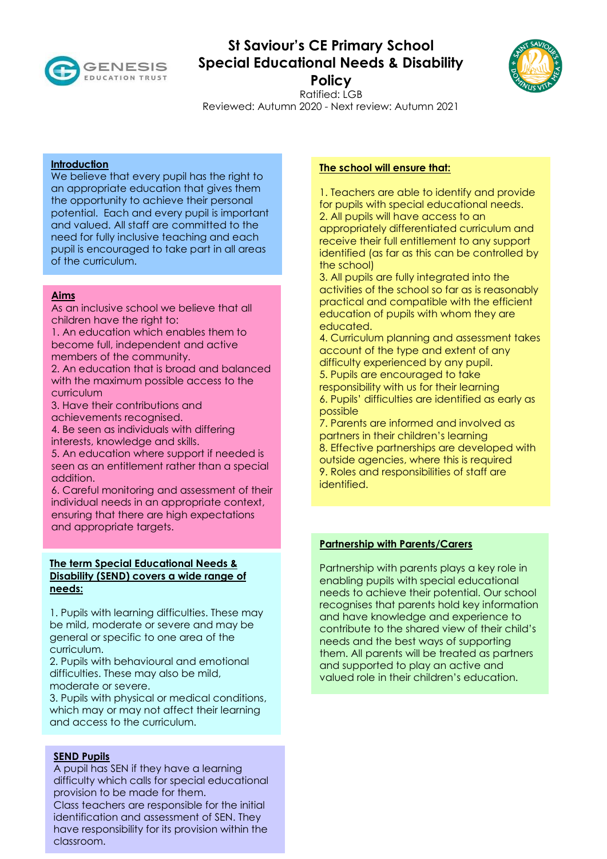

# **St Saviour's CE Primary School Special Educational Needs & Disability**



**Policy** 

Ratified: LGB Reviewed: Autumn 2020 - Next review: Autumn 2021

## **Introduction**

We believe that every pupil has the right to an appropriate education that gives them the opportunity to achieve their personal potential. Each and every pupil is important and valued. All staff are committed to the need for fully inclusive teaching and each pupil is encouraged to take part in all areas of the curriculum.

## **Aims**

As an inclusive school we believe that all children have the right to:

1. An education which enables them to become full, independent and active members of the community.

2. An education that is broad and balanced with the maximum possible access to the curriculum

3. Have their contributions and achievements recognised.

4. Be seen as individuals with differing interests, knowledge and skills.

5. An education where support if needed is seen as an entitlement rather than a special addition.

6. Careful monitoring and assessment of their individual needs in an appropriate context, ensuring that there are high expectations and appropriate targets.

## **The term Special Educational Needs & Disability (SEND) covers a wide range of needs:**

1. Pupils with learning difficulties. These may be mild, moderate or severe and may be general or specific to one area of the curriculum.

2. Pupils with behavioural and emotional difficulties. These may also be mild, moderate or severe.

3. Pupils with physical or medical conditions, which may or may not affect their learning and access to the curriculum.

# **SEND Pupils**

A pupil has SEN if they have a learning difficulty which calls for special educational provision to be made for them. Class teachers are responsible for the initial identification and assessment of SEN. They have responsibility for its provision within the classroom.

#### **The school will ensure that:**

1. Teachers are able to identify and provide for pupils with special educational needs. 2. All pupils will have access to an appropriately differentiated curriculum and receive their full entitlement to any support identified (as far as this can be controlled by the school)

3. All pupils are fully integrated into the activities of the school so far as is reasonably practical and compatible with the efficient education of pupils with whom they are educated.

4. Curriculum planning and assessment takes account of the type and extent of any difficulty experienced by any pupil.

5. Pupils are encouraged to take responsibility with us for their learning 6. Pupils' difficulties are identified as early as possible

7. Parents are informed and involved as partners in their children's learning 8. Effective partnerships are developed with outside agencies, where this is required 9. Roles and responsibilities of staff are identified.

#### **Partnership with Parents/Carers**

Partnership with parents plays a key role in enabling pupils with special educational needs to achieve their potential. Our school recognises that parents hold key information and have knowledge and experience to contribute to the shared view of their child's needs and the best ways of supporting them. All parents will be treated as partners and supported to play an active and valued role in their children's education.